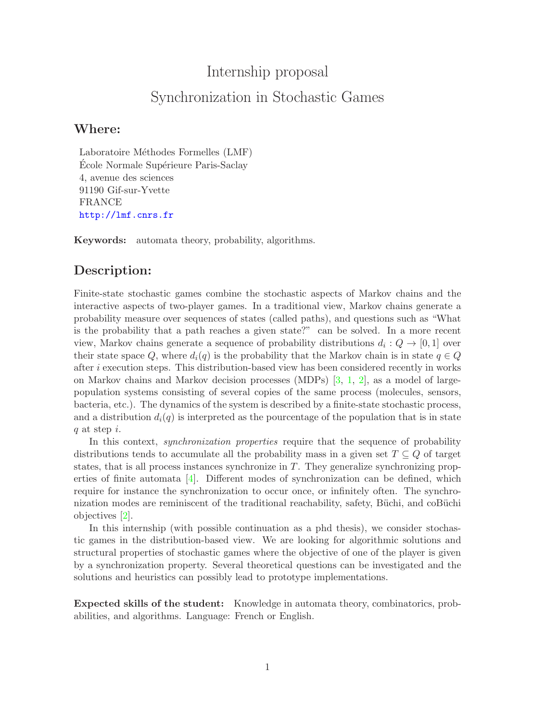## Internship proposal

# Synchronization in Stochastic Games

#### Where:

Laboratoire Méthodes Formelles (LMF) École Normale Supérieure Paris-Saclay 4, avenue des sciences 91190 Gif-sur-Yvette FRANCE <http://lmf.cnrs.fr>

Keywords: automata theory, probability, algorithms.

### Description:

Finite-state stochastic games combine the stochastic aspects of Markov chains and the interactive aspects of two-player games. In a traditional view, Markov chains generate a probability measure over sequences of states (called paths), and questions such as "What is the probability that a path reaches a given state?" can be solved. In a more recent view, Markov chains generate a sequence of probability distributions  $d_i: Q \to [0,1]$  over their state space Q, where  $d_i(q)$  is the probability that the Markov chain is in state  $q \in Q$ after i execution steps. This distribution-based view has been considered recently in works on Markov chains and Markov decision processes (MDPs) [\[3,](#page-1-0) [1,](#page-1-1) [2\]](#page-1-2), as a model of largepopulation systems consisting of several copies of the same process (molecules, sensors, bacteria, etc.). The dynamics of the system is described by a finite-state stochastic process, and a distribution  $d_i(q)$  is interpreted as the pourcentage of the population that is in state  $q$  at step  $i$ .

In this context, *synchronization properties* require that the sequence of probability distributions tends to accumulate all the probability mass in a given set  $T \subseteq Q$  of target states, that is all process instances synchronize in T. They generalize synchronizing properties of finite automata  $[4]$ . Different modes of synchronization can be defined, which require for instance the synchronization to occur once, or infinitely often. The synchronization modes are reminiscent of the traditional reachability, safety, Büchi, and coBüchi objectives [\[2\]](#page-1-2).

In this internship (with possible continuation as a phd thesis), we consider stochastic games in the distribution-based view. We are looking for algorithmic solutions and structural properties of stochastic games where the objective of one of the player is given by a synchronization property. Several theoretical questions can be investigated and the solutions and heuristics can possibly lead to prototype implementations.

Expected skills of the student: Knowledge in automata theory, combinatorics, probabilities, and algorithms. Language: French or English.